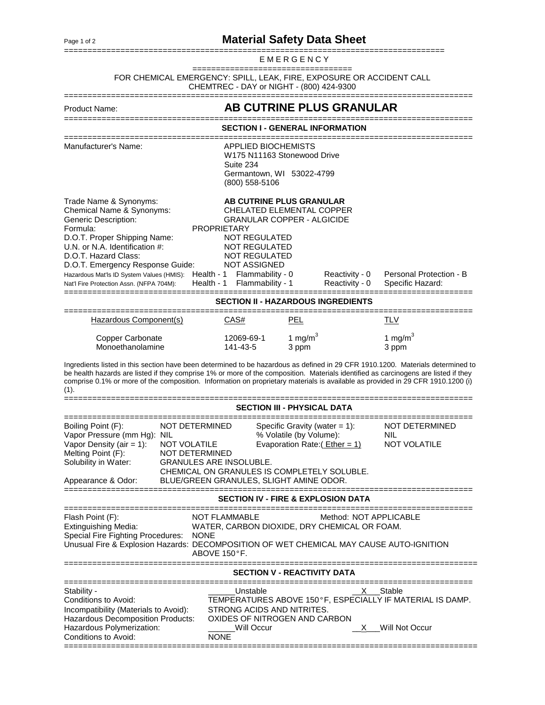## Page 1 of 2<br>**Material Safety Data Sheet**

| EMERGENCY                                                                                                                                                                                                                                                                                                                                                                                                         |                                                                                                                                                                                                                                                  |                     |                                  |                                             |  |  |  |  |
|-------------------------------------------------------------------------------------------------------------------------------------------------------------------------------------------------------------------------------------------------------------------------------------------------------------------------------------------------------------------------------------------------------------------|--------------------------------------------------------------------------------------------------------------------------------------------------------------------------------------------------------------------------------------------------|---------------------|----------------------------------|---------------------------------------------|--|--|--|--|
| FOR CHEMICAL EMERGENCY: SPILL, LEAK, FIRE, EXPOSURE OR ACCIDENT CALL                                                                                                                                                                                                                                                                                                                                              | CHEMTREC - DAY or NIGHT - (800) 424-9300                                                                                                                                                                                                         |                     |                                  |                                             |  |  |  |  |
| <b>Product Name:</b>                                                                                                                                                                                                                                                                                                                                                                                              | AB CUTRINE PLUS GRANULAR                                                                                                                                                                                                                         |                     |                                  |                                             |  |  |  |  |
|                                                                                                                                                                                                                                                                                                                                                                                                                   | <b>SECTION I - GENERAL INFORMATION</b>                                                                                                                                                                                                           |                     |                                  |                                             |  |  |  |  |
| Manufacturer's Name:                                                                                                                                                                                                                                                                                                                                                                                              | <b>APPLIED BIOCHEMISTS</b><br>W175 N11163 Stonewood Drive<br>Suite 234<br>Germantown, WI 53022-4799<br>(800) 558-5106                                                                                                                            |                     |                                  |                                             |  |  |  |  |
| Trade Name & Synonyms:<br>Chemical Name & Synonyms:<br><b>Generic Description:</b><br>Formula:<br>D.O.T. Proper Shipping Name:<br>U.N. or N.A. Identification #:<br>D.O.T. Hazard Class:<br>D.O.T. Emergency Response Guide:<br>Health - 1<br>Hazardous Mat'ls ID System Values (HMIS):<br>Health - 1<br>Nat'l Fire Protection Assn. (NFPA 704M):                                                                 | AB CUTRINE PLUS GRANULAR<br>CHELATED ELEMENTAL COPPER<br><b>GRANULAR COPPER - ALGICIDE</b><br><b>PROPRIETARY</b><br>NOT REGULATED<br><b>NOT REGULATED</b><br><b>NOT REGULATED</b><br><b>NOT ASSIGNED</b><br>Flammability - 0<br>Flammability - 1 |                     | Reactivity - 0<br>Reactivity - 0 | Personal Protection - B<br>Specific Hazard: |  |  |  |  |
|                                                                                                                                                                                                                                                                                                                                                                                                                   | <b>SECTION II - HAZARDOUS INGREDIENTS</b>                                                                                                                                                                                                        |                     |                                  |                                             |  |  |  |  |
| Hazardous Component(s)                                                                                                                                                                                                                                                                                                                                                                                            | CAS#                                                                                                                                                                                                                                             | <b>PEL</b>          |                                  | <b>TLV</b>                                  |  |  |  |  |
| <b>Copper Carbonate</b><br>Monoethanolamine                                                                                                                                                                                                                                                                                                                                                                       | 12069-69-1<br>141-43-5                                                                                                                                                                                                                           | 1 mg/m $3$<br>3 ppm |                                  | 1 mg/m $3$<br>3 ppm                         |  |  |  |  |
| Ingredients listed in this section have been determined to be hazardous as defined in 29 CFR 1910.1200. Materials determined to<br>be health hazards are listed if they comprise 1% or more of the composition. Materials identified as carcinogens are listed if they<br>comprise 0.1% or more of the composition. Information on proprietary materials is available as provided in 29 CFR 1910.1200 (i)<br>(1). |                                                                                                                                                                                                                                                  |                     |                                  |                                             |  |  |  |  |
|                                                                                                                                                                                                                                                                                                                                                                                                                   | <b>SECTION III - PHYSICAL DATA</b>                                                                                                                                                                                                               |                     |                                  |                                             |  |  |  |  |

| Boiling Point (F):<br>Vapor Pressure (mm Hg): NIL<br>Vapor Density (air = 1):<br>Melting Point (F):<br>Solubility in Water:<br>Appearance & Odor:                                                                                                                                                         | NOT DETERMINED<br>NOT VOLATILE<br>NOT DETERMINED<br><b>GRANULES ARE INSOLUBLE.</b> | Specific Gravity (water $= 1$ ):<br>% Volatile (by Volume):<br>Evaporation Rate: $($ Ether = 1)<br>CHEMICAL ON GRANULES IS COMPLETELY SOLUBLE.<br>BLUE/GREEN GRANULES, SLIGHT AMINE ODOR. | NOT DETERMINED<br>NIL<br><b>NOT VOLATILE</b>                                                                |  |  |  |  |  |
|-----------------------------------------------------------------------------------------------------------------------------------------------------------------------------------------------------------------------------------------------------------------------------------------------------------|------------------------------------------------------------------------------------|-------------------------------------------------------------------------------------------------------------------------------------------------------------------------------------------|-------------------------------------------------------------------------------------------------------------|--|--|--|--|--|
| <b>SECTION IV - FIRE &amp; EXPLOSION DATA</b>                                                                                                                                                                                                                                                             |                                                                                    |                                                                                                                                                                                           |                                                                                                             |  |  |  |  |  |
| Method: NOT APPLICABLE<br>Flash Point (F):<br>NOT FLAMMABLE<br><b>Extinguishing Media:</b><br>WATER, CARBON DIOXIDE, DRY CHEMICAL OR FOAM.<br>Special Fire Fighting Procedures: NONE<br>Unusual Fire & Explosion Hazards: DECOMPOSITION OF WET CHEMICAL MAY CAUSE AUTO-IGNITION<br>ABOVE $150^{\circ}$ F. |                                                                                    |                                                                                                                                                                                           |                                                                                                             |  |  |  |  |  |
| <b>SECTION V - REACTIVITY DATA</b>                                                                                                                                                                                                                                                                        |                                                                                    |                                                                                                                                                                                           |                                                                                                             |  |  |  |  |  |
| Stability -<br>Conditions to Avoid:<br>Incompatibility (Materials to Avoid):<br><b>Hazardous Decomposition Products:</b><br>Hazardous Polymerization:<br>Conditions to Avoid:                                                                                                                             | <b>NONE</b>                                                                        | Unstable<br>STRONG ACIDS AND NITRITES.<br>OXIDES OF NITROGEN AND CARBON<br>Will Occur                                                                                                     | Stable<br>$\mathsf{X}$<br>TEMPERATURES ABOVE 150°F, ESPECIALLY IF MATERIAL IS DAMP.<br>Will Not Occur<br>X. |  |  |  |  |  |